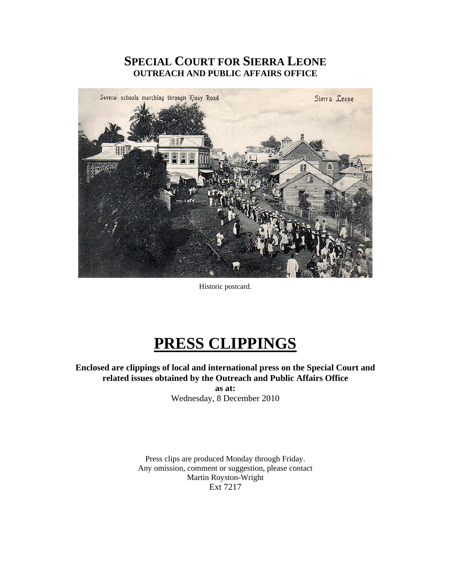# **SPECIAL COURT FOR SIERRA LEONE OUTREACH AND PUBLIC AFFAIRS OFFICE**



Historic postcard.

# **PRESS CLIPPINGS**

**Enclosed are clippings of local and international press on the Special Court and related issues obtained by the Outreach and Public Affairs Office** 

**as at:**  Wednesday, 8 December 2010

Press clips are produced Monday through Friday. Any omission, comment or suggestion, please contact Martin Royston-Wright Ext 7217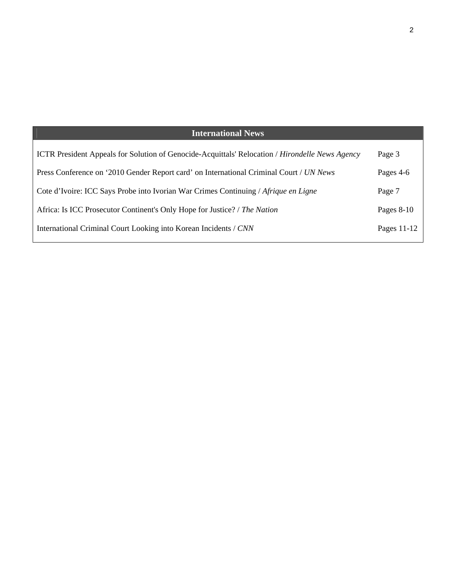# **International News**

| <b>ICTR</b> President Appeals for Solution of Genocide-Acquittals' Relocation / <i>Hirondelle News Agency</i> | Page 3       |
|---------------------------------------------------------------------------------------------------------------|--------------|
| Press Conference on '2010 Gender Report card' on International Criminal Court / UN News                       | Pages 4-6    |
| Cote d'Ivoire: ICC Says Probe into Ivorian War Crimes Continuing / Afrique en Ligne                           | Page 7       |
| Africa: Is ICC Prosecutor Continent's Only Hope for Justice? / The Nation                                     | Pages $8-10$ |
| International Criminal Court Looking into Korean Incidents / CNN                                              | Pages 11-12  |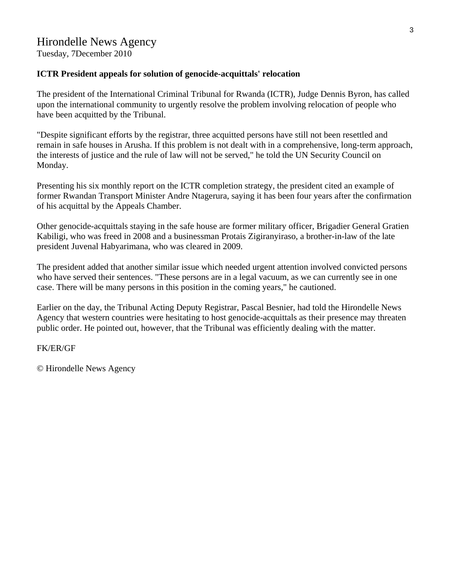Tuesday, 7December 2010

# **ICTR President appeals for solution of genocide-acquittals' relocation**

The president of the International Criminal Tribunal for Rwanda (ICTR), Judge Dennis Byron, has called upon the international community to urgently resolve the problem involving relocation of people who have been acquitted by the Tribunal.

"Despite significant efforts by the registrar, three acquitted persons have still not been resettled and remain in safe houses in Arusha. If this problem is not dealt with in a comprehensive, long-term approach, the interests of justice and the rule of law will not be served," he told the UN Security Council on Monday.

Presenting his six monthly report on the ICTR completion strategy, the president cited an example of former Rwandan Transport Minister Andre Ntagerura, saying it has been four years after the confirmation of his acquittal by the Appeals Chamber.

Other genocide-acquittals staying in the safe house are former military officer, Brigadier General Gratien Kabiligi, who was freed in 2008 and a businessman Protais Zigiranyiraso, a brother-in-law of the late president Juvenal Habyarimana, who was cleared in 2009.

The president added that another similar issue which needed urgent attention involved convicted persons who have served their sentences. "These persons are in a legal vacuum, as we can currently see in one case. There will be many persons in this position in the coming years," he cautioned.

Earlier on the day, the Tribunal Acting Deputy Registrar, Pascal Besnier, had told the Hirondelle News Agency that western countries were hesitating to host genocide-acquittals as their presence may threaten public order. He pointed out, however, that the Tribunal was efficiently dealing with the matter.

FK/ER/GF

© Hirondelle News Agency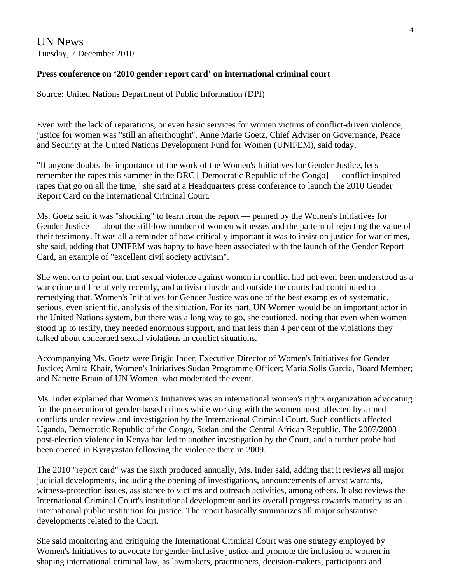UN News Tuesday, 7 December 2010

## **Press conference on '2010 gender report card' on international criminal court**

Source: United Nations Department of Public Information (DPI)

Even with the lack of reparations, or even basic services for women victims of conflict-driven violence, justice for women was "still an afterthought", Anne Marie Goetz, Chief Adviser on Governance, Peace and Security at the United Nations Development Fund for Women (UNIFEM), said today.

"If anyone doubts the importance of the work of the Women's Initiatives for Gender Justice, let's remember the rapes this summer in the DRC [ Democratic Republic of the Congo] — conflict-inspired rapes that go on all the time," she said at a Headquarters press conference to launch the 2010 Gender Report Card on the International Criminal Court.

Ms. Goetz said it was "shocking" to learn from the report — penned by the Women's Initiatives for Gender Justice — about the still-low number of women witnesses and the pattern of rejecting the value of their testimony. It was all a reminder of how critically important it was to insist on justice for war crimes, she said, adding that UNIFEM was happy to have been associated with the launch of the Gender Report Card, an example of "excellent civil society activism".

She went on to point out that sexual violence against women in conflict had not even been understood as a war crime until relatively recently, and activism inside and outside the courts had contributed to remedying that. Women's Initiatives for Gender Justice was one of the best examples of systematic, serious, even scientific, analysis of the situation. For its part, UN Women would be an important actor in the United Nations system, but there was a long way to go, she cautioned, noting that even when women stood up to testify, they needed enormous support, and that less than 4 per cent of the violations they talked about concerned sexual violations in conflict situations.

Accompanying Ms. Goetz were Brigid Inder, Executive Director of Women's Initiatives for Gender Justice; Amira Khair, Women's Initiatives Sudan Programme Officer; Maria Solis Garcia, Board Member; and Nanette Braun of UN Women, who moderated the event.

Ms. Inder explained that Women's Initiatives was an international women's rights organization advocating for the prosecution of gender-based crimes while working with the women most affected by armed conflicts under review and investigation by the International Criminal Court. Such conflicts affected Uganda, Democratic Republic of the Congo, Sudan and the Central African Republic. The 2007/2008 post-election violence in Kenya had led to another investigation by the Court, and a further probe had been opened in Kyrgyzstan following the violence there in 2009.

The 2010 "report card" was the sixth produced annually, Ms. Inder said, adding that it reviews all major judicial developments, including the opening of investigations, announcements of arrest warrants, witness-protection issues, assistance to victims and outreach activities, among others. It also reviews the International Criminal Court's institutional development and its overall progress towards maturity as an international public institution for justice. The report basically summarizes all major substantive developments related to the Court.

She said monitoring and critiquing the International Criminal Court was one strategy employed by Women's Initiatives to advocate for gender-inclusive justice and promote the inclusion of women in shaping international criminal law, as lawmakers, practitioners, decision-makers, participants and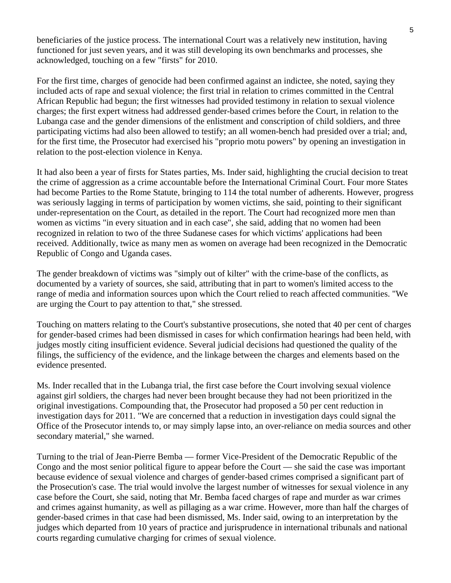beneficiaries of the justice process. The international Court was a relatively new institution, having functioned for just seven years, and it was still developing its own benchmarks and processes, she acknowledged, touching on a few "firsts" for 2010.

For the first time, charges of genocide had been confirmed against an indictee, she noted, saying they included acts of rape and sexual violence; the first trial in relation to crimes committed in the Central African Republic had begun; the first witnesses had provided testimony in relation to sexual violence charges; the first expert witness had addressed gender-based crimes before the Court, in relation to the Lubanga case and the gender dimensions of the enlistment and conscription of child soldiers, and three participating victims had also been allowed to testify; an all women-bench had presided over a trial; and, for the first time, the Prosecutor had exercised his "proprio motu powers" by opening an investigation in relation to the post-election violence in Kenya.

It had also been a year of firsts for States parties, Ms. Inder said, highlighting the crucial decision to treat the crime of aggression as a crime accountable before the International Criminal Court. Four more States had become Parties to the Rome Statute, bringing to 114 the total number of adherents. However, progress was seriously lagging in terms of participation by women victims, she said, pointing to their significant under-representation on the Court, as detailed in the report. The Court had recognized more men than women as victims "in every situation and in each case", she said, adding that no women had been recognized in relation to two of the three Sudanese cases for which victims' applications had been received. Additionally, twice as many men as women on average had been recognized in the Democratic Republic of Congo and Uganda cases.

The gender breakdown of victims was "simply out of kilter" with the crime-base of the conflicts, as documented by a variety of sources, she said, attributing that in part to women's limited access to the range of media and information sources upon which the Court relied to reach affected communities. "We are urging the Court to pay attention to that," she stressed.

Touching on matters relating to the Court's substantive prosecutions, she noted that 40 per cent of charges for gender-based crimes had been dismissed in cases for which confirmation hearings had been held, with judges mostly citing insufficient evidence. Several judicial decisions had questioned the quality of the filings, the sufficiency of the evidence, and the linkage between the charges and elements based on the evidence presented.

Ms. Inder recalled that in the Lubanga trial, the first case before the Court involving sexual violence against girl soldiers, the charges had never been brought because they had not been prioritized in the original investigations. Compounding that, the Prosecutor had proposed a 50 per cent reduction in investigation days for 2011. "We are concerned that a reduction in investigation days could signal the Office of the Prosecutor intends to, or may simply lapse into, an over-reliance on media sources and other secondary material," she warned.

Turning to the trial of Jean-Pierre Bemba — former Vice-President of the Democratic Republic of the Congo and the most senior political figure to appear before the Court — she said the case was important because evidence of sexual violence and charges of gender-based crimes comprised a significant part of the Prosecution's case. The trial would involve the largest number of witnesses for sexual violence in any case before the Court, she said, noting that Mr. Bemba faced charges of rape and murder as war crimes and crimes against humanity, as well as pillaging as a war crime. However, more than half the charges of gender-based crimes in that case had been dismissed, Ms. Inder said, owing to an interpretation by the judges which departed from 10 years of practice and jurisprudence in international tribunals and national courts regarding cumulative charging for crimes of sexual violence.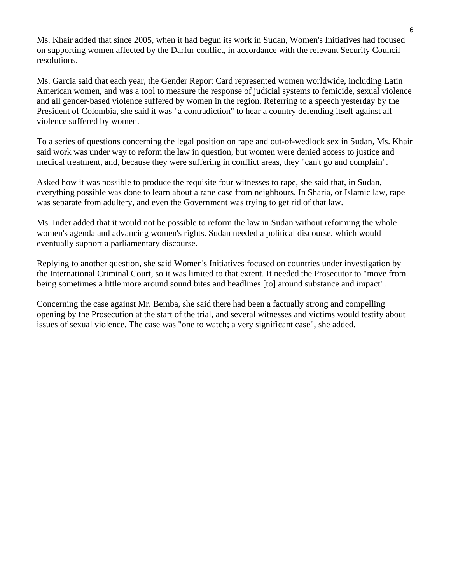Ms. Khair added that since 2005, when it had begun its work in Sudan, Women's Initiatives had focused on supporting women affected by the Darfur conflict, in accordance with the relevant Security Council resolutions.

Ms. Garcia said that each year, the Gender Report Card represented women worldwide, including Latin American women, and was a tool to measure the response of judicial systems to femicide, sexual violence and all gender-based violence suffered by women in the region. Referring to a speech yesterday by the President of Colombia, she said it was "a contradiction" to hear a country defending itself against all violence suffered by women.

To a series of questions concerning the legal position on rape and out-of-wedlock sex in Sudan, Ms. Khair said work was under way to reform the law in question, but women were denied access to justice and medical treatment, and, because they were suffering in conflict areas, they "can't go and complain".

Asked how it was possible to produce the requisite four witnesses to rape, she said that, in Sudan, everything possible was done to learn about a rape case from neighbours. In Sharia, or Islamic law, rape was separate from adultery, and even the Government was trying to get rid of that law.

Ms. Inder added that it would not be possible to reform the law in Sudan without reforming the whole women's agenda and advancing women's rights. Sudan needed a political discourse, which would eventually support a parliamentary discourse.

Replying to another question, she said Women's Initiatives focused on countries under investigation by the International Criminal Court, so it was limited to that extent. It needed the Prosecutor to "move from being sometimes a little more around sound bites and headlines [to] around substance and impact".

Concerning the case against Mr. Bemba, she said there had been a factually strong and compelling opening by the Prosecution at the start of the trial, and several witnesses and victims would testify about issues of sexual violence. The case was "one to watch; a very significant case", she added.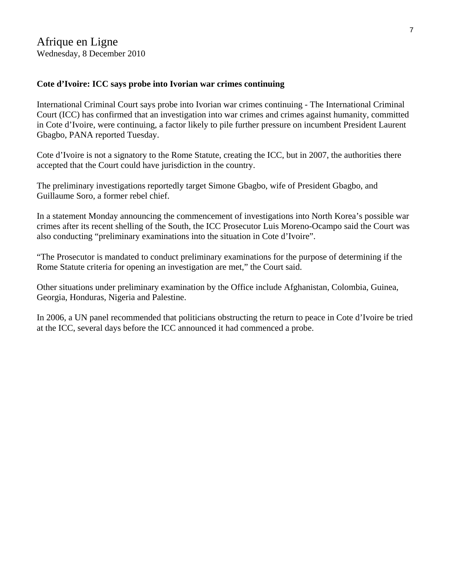# **Cote d'Ivoire: ICC says probe into Ivorian war crimes continuing**

International Criminal Court says probe into Ivorian war crimes continuing - The International Criminal Court (ICC) has confirmed that an investigation into war crimes and crimes against humanity, committed in Cote d'Ivoire, were continuing, a factor likely to pile further pressure on incumbent President Laurent Gbagbo, PANA reported Tuesday.

Cote d'Ivoire is not a signatory to the Rome Statute, creating the ICC, but in 2007, the authorities there accepted that the Court could have jurisdiction in the country.

The preliminary investigations reportedly target Simone Gbagbo, wife of President Gbagbo, and Guillaume Soro, a former rebel chief.

In a statement Monday announcing the commencement of investigations into North Korea's possible war crimes after its recent shelling of the South, the ICC Prosecutor Luis Moreno-Ocampo said the Court was also conducting "preliminary examinations into the situation in Cote d'Ivoire".

"The Prosecutor is mandated to conduct preliminary examinations for the purpose of determining if the Rome Statute criteria for opening an investigation are met," the Court said.

Other situations under preliminary examination by the Office include Afghanistan, Colombia, Guinea, Georgia, Honduras, Nigeria and Palestine.

In 2006, a UN panel recommended that politicians obstructing the return to peace in Cote d'Ivoire be tried at the ICC, several days before the ICC announced it had commenced a probe.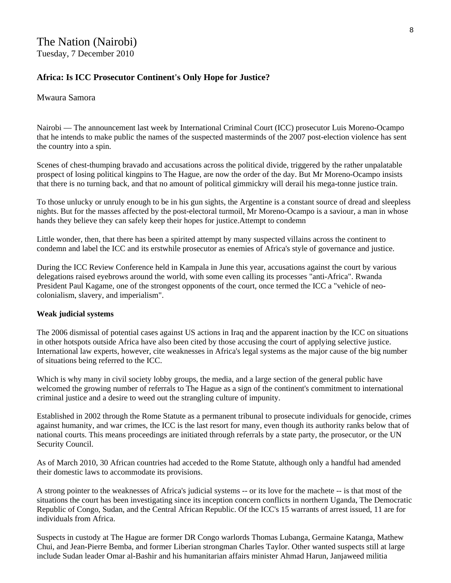# **Africa: Is ICC Prosecutor Continent's Only Hope for Justice?**

### Mwaura Samora

Nairobi — The announcement last week by International Criminal Court (ICC) prosecutor Luis Moreno-Ocampo that he intends to make public the names of the suspected masterminds of the 2007 post-election violence has sent the country into a spin.

Scenes of chest-thumping bravado and accusations across the political divide, triggered by the rather unpalatable prospect of losing political kingpins to The Hague, are now the order of the day. But Mr Moreno-Ocampo insists that there is no turning back, and that no amount of political gimmickry will derail his mega-tonne justice train.

To those unlucky or unruly enough to be in his gun sights, the Argentine is a constant source of dread and sleepless nights. But for the masses affected by the post-electoral turmoil, Mr Moreno-Ocampo is a saviour, a man in whose hands they believe they can safely keep their hopes for justice.Attempt to condemn

Little wonder, then, that there has been a spirited attempt by many suspected villains across the continent to condemn and label the ICC and its erstwhile prosecutor as enemies of Africa's style of governance and justice.

During the ICC Review Conference held in Kampala in June this year, accusations against the court by various delegations raised eyebrows around the world, with some even calling its processes "anti-Africa". Rwanda President Paul Kagame, one of the strongest opponents of the court, once termed the ICC a "vehicle of neocolonialism, slavery, and imperialism".

#### **Weak judicial systems**

The 2006 dismissal of potential cases against US actions in Iraq and the apparent inaction by the ICC on situations in other hotspots outside Africa have also been cited by those accusing the court of applying selective justice. International law experts, however, cite weaknesses in Africa's legal systems as the major cause of the big number of situations being referred to the ICC.

Which is why many in civil society lobby groups, the media, and a large section of the general public have welcomed the growing number of referrals to The Hague as a sign of the continent's commitment to international criminal justice and a desire to weed out the strangling culture of impunity.

Established in 2002 through the Rome Statute as a permanent tribunal to prosecute individuals for genocide, crimes against humanity, and war crimes, the ICC is the last resort for many, even though its authority ranks below that of national courts. This means proceedings are initiated through referrals by a state party, the prosecutor, or the UN Security Council.

As of March 2010, 30 African countries had acceded to the Rome Statute, although only a handful had amended their domestic laws to accommodate its provisions.

A strong pointer to the weaknesses of Africa's judicial systems -- or its love for the machete -- is that most of the situations the court has been investigating since its inception concern conflicts in northern Uganda, The Democratic Republic of Congo, Sudan, and the Central African Republic. Of the ICC's 15 warrants of arrest issued, 11 are for individuals from Africa.

Suspects in custody at The Hague are former DR Congo warlords Thomas Lubanga, Germaine Katanga, Mathew Chui, and Jean-Pierre Bemba, and former Liberian strongman Charles Taylor. Other wanted suspects still at large include Sudan leader Omar al-Bashir and his humanitarian affairs minister Ahmad Harun, Janjaweed militia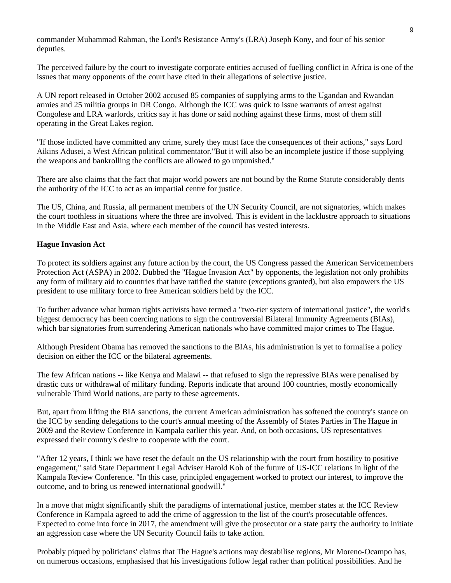commander Muhammad Rahman, the Lord's Resistance Army's (LRA) Joseph Kony, and four of his senior deputies.

The perceived failure by the court to investigate corporate entities accused of fuelling conflict in Africa is one of the issues that many opponents of the court have cited in their allegations of selective justice.

A UN report released in October 2002 accused 85 companies of supplying arms to the Ugandan and Rwandan armies and 25 militia groups in DR Congo. Although the ICC was quick to issue warrants of arrest against Congolese and LRA warlords, critics say it has done or said nothing against these firms, most of them still operating in the Great Lakes region.

"If those indicted have committed any crime, surely they must face the consequences of their actions," says Lord Aikins Adusei, a West African political commentator."But it will also be an incomplete justice if those supplying the weapons and bankrolling the conflicts are allowed to go unpunished."

There are also claims that the fact that major world powers are not bound by the Rome Statute considerably dents the authority of the ICC to act as an impartial centre for justice.

The US, China, and Russia, all permanent members of the UN Security Council, are not signatories, which makes the court toothless in situations where the three are involved. This is evident in the lacklustre approach to situations in the Middle East and Asia, where each member of the council has vested interests.

#### **Hague Invasion Act**

To protect its soldiers against any future action by the court, the US Congress passed the American Servicemembers Protection Act (ASPA) in 2002. Dubbed the "Hague Invasion Act" by opponents, the legislation not only prohibits any form of military aid to countries that have ratified the statute (exceptions granted), but also empowers the US president to use military force to free American soldiers held by the ICC.

To further advance what human rights activists have termed a "two-tier system of international justice", the world's biggest democracy has been coercing nations to sign the controversial Bilateral Immunity Agreements (BIAs), which bar signatories from surrendering American nationals who have committed major crimes to The Hague.

Although President Obama has removed the sanctions to the BIAs, his administration is yet to formalise a policy decision on either the ICC or the bilateral agreements.

The few African nations -- like Kenya and Malawi -- that refused to sign the repressive BIAs were penalised by drastic cuts or withdrawal of military funding. Reports indicate that around 100 countries, mostly economically vulnerable Third World nations, are party to these agreements.

But, apart from lifting the BIA sanctions, the current American administration has softened the country's stance on the ICC by sending delegations to the court's annual meeting of the Assembly of States Parties in The Hague in 2009 and the Review Conference in Kampala earlier this year. And, on both occasions, US representatives expressed their country's desire to cooperate with the court.

"After 12 years, I think we have reset the default on the US relationship with the court from hostility to positive engagement," said State Department Legal Adviser Harold Koh of the future of US-ICC relations in light of the Kampala Review Conference. "In this case, principled engagement worked to protect our interest, to improve the outcome, and to bring us renewed international goodwill."

In a move that might significantly shift the paradigms of international justice, member states at the ICC Review Conference in Kampala agreed to add the crime of aggression to the list of the court's prosecutable offences. Expected to come into force in 2017, the amendment will give the prosecutor or a state party the authority to initiate an aggression case where the UN Security Council fails to take action.

Probably piqued by politicians' claims that The Hague's actions may destabilise regions, Mr Moreno-Ocampo has, on numerous occasions, emphasised that his investigations follow legal rather than political possibilities. And he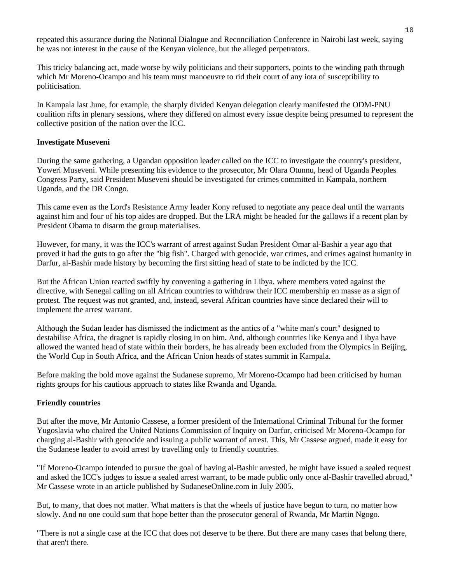repeated this assurance during the National Dialogue and Reconciliation Conference in Nairobi last week, saying he was not interest in the cause of the Kenyan violence, but the alleged perpetrators.

This tricky balancing act, made worse by wily politicians and their supporters, points to the winding path through which Mr Moreno-Ocampo and his team must manoeuvre to rid their court of any iota of susceptibility to politicisation.

In Kampala last June, for example, the sharply divided Kenyan delegation clearly manifested the ODM-PNU coalition rifts in plenary sessions, where they differed on almost every issue despite being presumed to represent the collective position of the nation over the ICC.

#### **Investigate Museveni**

During the same gathering, a Ugandan opposition leader called on the ICC to investigate the country's president, Yoweri Museveni. While presenting his evidence to the prosecutor, Mr Olara Otunnu, head of Uganda Peoples Congress Party, said President Museveni should be investigated for crimes committed in Kampala, northern Uganda, and the DR Congo.

This came even as the Lord's Resistance Army leader Kony refused to negotiate any peace deal until the warrants against him and four of his top aides are dropped. But the LRA might be headed for the gallows if a recent plan by President Obama to disarm the group materialises.

However, for many, it was the ICC's warrant of arrest against Sudan President Omar al-Bashir a year ago that proved it had the guts to go after the "big fish". Charged with genocide, war crimes, and crimes against humanity in Darfur, al-Bashir made history by becoming the first sitting head of state to be indicted by the ICC.

But the African Union reacted swiftly by convening a gathering in Libya, where members voted against the directive, with Senegal calling on all African countries to withdraw their ICC membership en masse as a sign of protest. The request was not granted, and, instead, several African countries have since declared their will to implement the arrest warrant.

Although the Sudan leader has dismissed the indictment as the antics of a "white man's court" designed to destabilise Africa, the dragnet is rapidly closing in on him. And, although countries like Kenya and Libya have allowed the wanted head of state within their borders, he has already been excluded from the Olympics in Beijing, the World Cup in South Africa, and the African Union heads of states summit in Kampala.

Before making the bold move against the Sudanese supremo, Mr Moreno-Ocampo had been criticised by human rights groups for his cautious approach to states like Rwanda and Uganda.

#### **Friendly countries**

But after the move, Mr Antonio Cassese, a former president of the International Criminal Tribunal for the former Yugoslavia who chaired the United Nations Commission of Inquiry on Darfur, criticised Mr Moreno-Ocampo for charging al-Bashir with genocide and issuing a public warrant of arrest. This, Mr Cassese argued, made it easy for the Sudanese leader to avoid arrest by travelling only to friendly countries.

"If Moreno-Ocampo intended to pursue the goal of having al-Bashir arrested, he might have issued a sealed request and asked the ICC's judges to issue a sealed arrest warrant, to be made public only once al-Bashir travelled abroad," Mr Cassese wrote in an article published by SudaneseOnline.com in July 2005.

But, to many, that does not matter. What matters is that the wheels of justice have begun to turn, no matter how slowly. And no one could sum that hope better than the prosecutor general of Rwanda, Mr Martin Ngogo.

"There is not a single case at the ICC that does not deserve to be there. But there are many cases that belong there, that aren't there.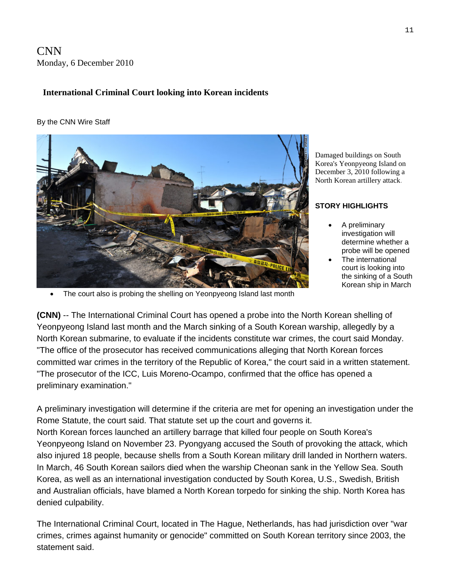CNN Monday, 6 December 2010

# **International Criminal Court looking into Korean incidents**

#### By the CNN Wire Staff



Damaged buildings on South Korea's Yeonpyeong Island on December 3, 2010 following a North Korean artillery attack.

#### **STORY HIGHLIGHTS**

- A preliminary investigation will determine whether a probe will be opened
- The international court is looking into the sinking of a South Korean ship in March

The court also is probing the shelling on Yeonpyeong Island last month

**(CNN)** -- The International Criminal Court has opened a probe into the North Korean shelling of Yeonpyeong Island last month and the March sinking of a South Korean warship, allegedly by a North Korean submarine, to evaluate if the incidents constitute war crimes, the court said Monday. "The office of the prosecutor has received communications alleging that North Korean forces committed war crimes in the territory of the Republic of Korea," the court said in a written statement. "The prosecutor of the ICC, Luis Moreno-Ocampo, confirmed that the office has opened a preliminary examination."

A preliminary investigation will determine if the criteria are met for opening an investigation under the Rome Statute, the court said. That statute set up the court and governs it. North Korean forces launched an artillery barrage that killed four people on South Korea's Yeonpyeong Island on November 23. Pyongyang accused the South of provoking the attack, which also injured 18 people, because shells from a South Korean military drill landed in Northern waters. In March, 46 South Korean sailors died when the warship Cheonan sank in the Yellow Sea. South Korea, as well as an international investigation conducted by South Korea, U.S., Swedish, British and Australian officials, have blamed a North Korean torpedo for sinking the ship. North Korea has denied culpability.

The International Criminal Court, located in The Hague, Netherlands, has had jurisdiction over "war crimes, crimes against humanity or genocide" committed on South Korean territory since 2003, the statement said.